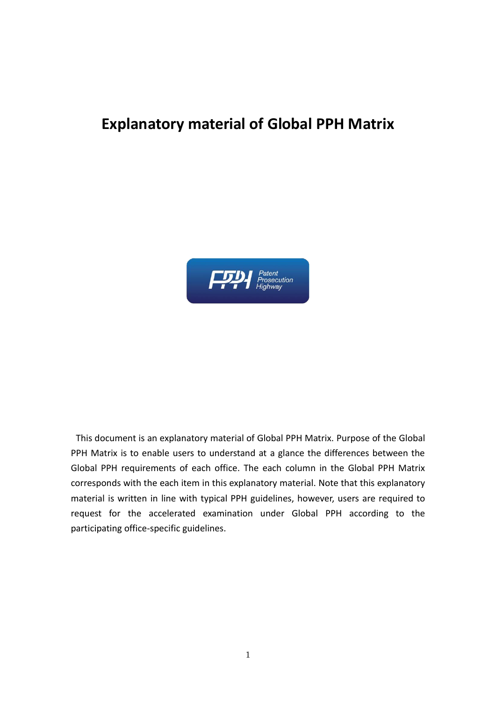## **Explanatory material of Global PPH Matrix**



This document is an explanatory material of Global PPH Matrix. Purpose of the Global PPH Matrix is to enable users to understand at a glance the differences between the Global PPH requirements of each office. The each column in the Global PPH Matrix corresponds with the each item in this explanatory material. Note that this explanatory material is written in line with typical PPH guidelines, however, users are required to request for the accelerated examination under Global PPH according to the participating office-specific guidelines.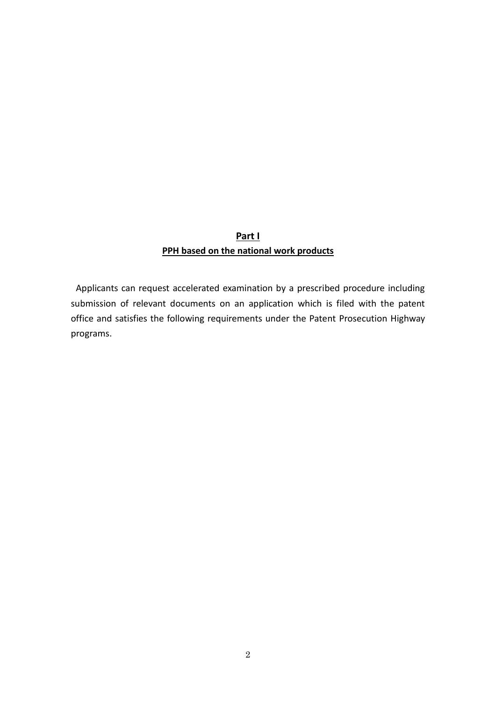## **Part I PPH based on the national work products**

Applicants can request accelerated examination by a prescribed procedure including submission of relevant documents on an application which is filed with the patent office and satisfies the following requirements under the Patent Prosecution Highway programs.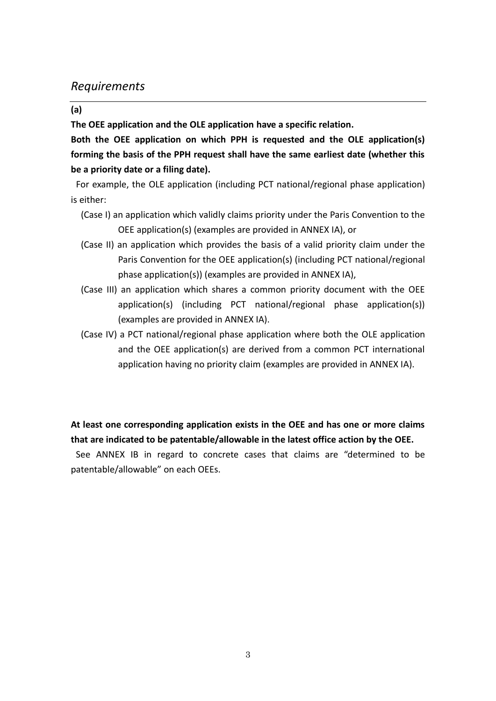## *Requirements*

#### **(a)**

**The OEE application and the OLE application have a specific relation.**

**Both the OEE application on which PPH is requested and the OLE application(s) forming the basis of the PPH request shall have the same earliest date (whether this be a priority date or a filing date).** 

For example, the OLE application (including PCT national/regional phase application) is either:

- (Case I) an application which validly claims priority under the Paris Convention to the OEE application(s) (examples are provided in ANNEX IA), or
- (Case II) an application which provides the basis of a valid priority claim under the Paris Convention for the OEE application(s) (including PCT national/regional phase application(s)) (examples are provided in ANNEX IA),
- (Case III) an application which shares a common priority document with the OEE application(s) (including PCT national/regional phase application(s)) (examples are provided in ANNEX IA).
- (Case IV) a PCT national/regional phase application where both the OLE application and the OEE application(s) are derived from a common PCT international application having no priority claim (examples are provided in ANNEX IA).

**At least one corresponding application exists in the OEE and has one or more claims that are indicated to be patentable/allowable in the latest office action by the OEE.**

See ANNEX IB in regard to concrete cases that claims are "determined to be patentable/allowable" on each OEEs.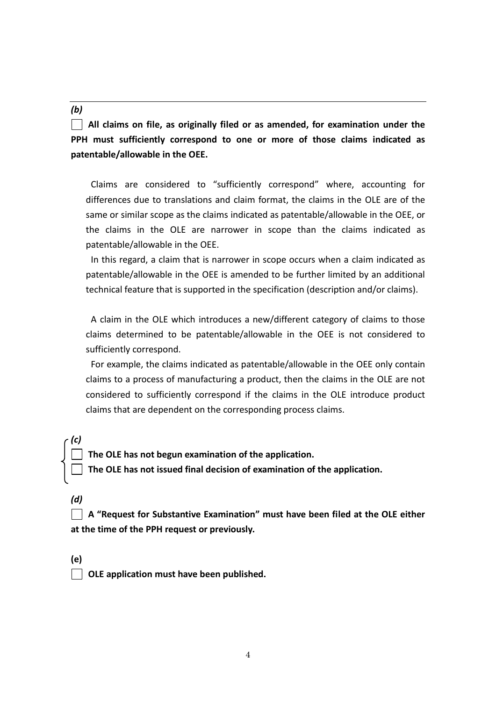#### *(b)*

**All claims on file, as originally filed or as amended, for examination under the PPH must sufficiently correspond to one or more of those claims indicated as patentable/allowable in the OEE.**

Claims are considered to "sufficiently correspond" where, accounting for differences due to translations and claim format, the claims in the OLE are of the same or similar scope as the claims indicated as patentable/allowable in the OEE, or the claims in the OLE are narrower in scope than the claims indicated as patentable/allowable in the OEE.

In this regard, a claim that is narrower in scope occurs when a claim indicated as patentable/allowable in the OEE is amended to be further limited by an additional technical feature that is supported in the specification (description and/or claims).

A claim in the OLE which introduces a new/different category of claims to those claims determined to be patentable/allowable in the OEE is not considered to sufficiently correspond.

For example, the claims indicated as patentable/allowable in the OEE only contain claims to a process of manufacturing a product, then the claims in the OLE are not considered to sufficiently correspond if the claims in the OLE introduce product claims that are dependent on the corresponding process claims.

**The OLE has not begun examination of the application.**

**The OLE has not issued final decision of examination of the application.**

*(d)*

*(c)*

**A "Request for Substantive Examination" must have been filed at the OLE either at the time of the PPH request or previously.**

**(e)**

**OLE application must have been published.**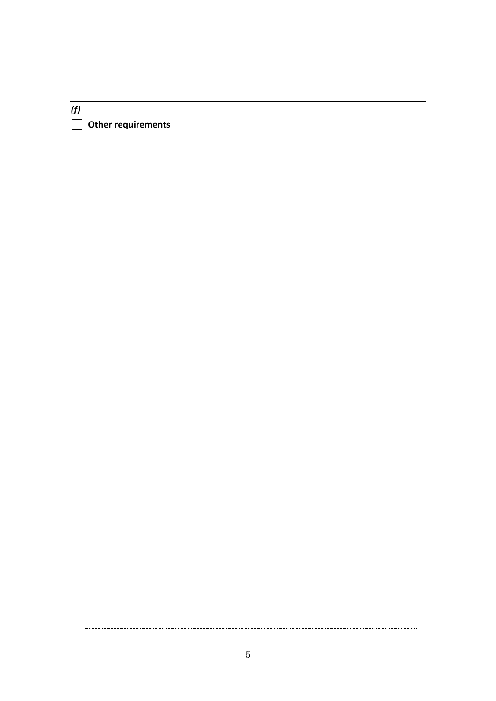## *(f)* **Other requirements**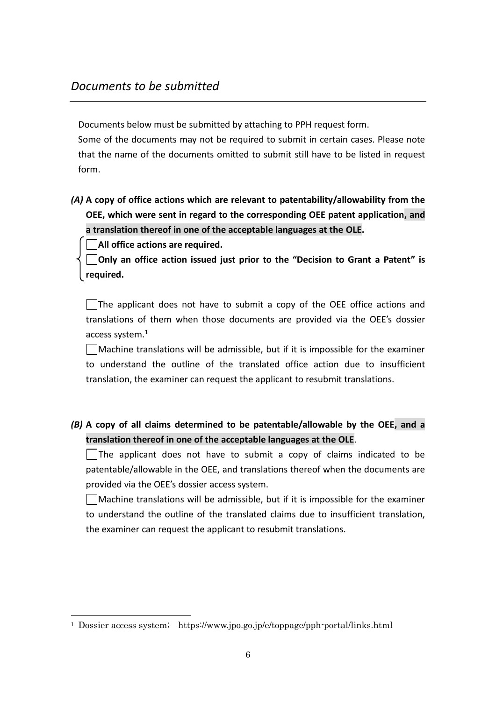Documents below must be submitted by attaching to PPH request form.

Some of the documents may not be required to submit in certain cases. Please note that the name of the documents omitted to submit still have to be listed in request form.

*(A)* **A copy of office actions which are relevant to patentability/allowability from the OEE, which were sent in regard to the corresponding OEE patent application, and a translation thereof in one of the acceptable languages at the OLE.**

**All office actions are required.**

-

**Only an office action issued just prior to the "Decision to Grant a Patent" is required.**

The applicant does not have to submit a copy of the OEE office actions and translations of them when those documents are provided via the OEE's dossier access system.<sup>1</sup>

Machine translations will be admissible, but if it is impossible for the examiner to understand the outline of the translated office action due to insufficient translation, the examiner can request the applicant to resubmit translations.

*(B)* **A copy of all claims determined to be patentable/allowable by the OEE, and a translation thereof in one of the acceptable languages at the OLE**.

The applicant does not have to submit a copy of claims indicated to be patentable/allowable in the OEE, and translations thereof when the documents are provided via the OEE's dossier access system.

 $\Box$ Machine translations will be admissible, but if it is impossible for the examiner to understand the outline of the translated claims due to insufficient translation, the examiner can request the applicant to resubmit translations.

<sup>1</sup> Dossier access system; https://www.jpo.go.jp/e/toppage/pph-portal/links.html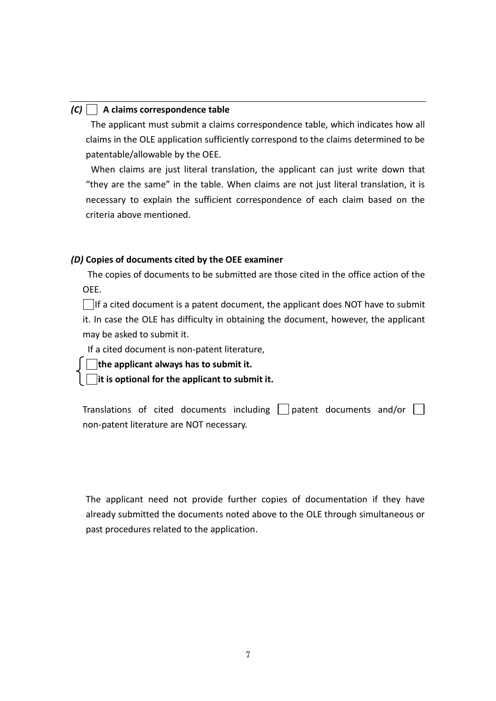#### *(C)* **A claims correspondence table**

The applicant must submit a claims correspondence table, which indicates how all claims in the OLE application sufficiently correspond to the claims determined to be patentable/allowable by the OEE.

When claims are just literal translation, the applicant can just write down that "they are the same" in the table. When claims are not just literal translation, it is necessary to explain the sufficient correspondence of each claim based on the criteria above mentioned.

### *(D)* **Copies of documents cited by the OEE examiner**

The copies of documents to be submitted are those cited in the office action of the OEE.

 $\Box$ If a cited document is a patent document, the applicant does NOT have to submit it. In case the OLE has difficulty in obtaining the document, however, the applicant may be asked to submit it.

If a cited document is non-patent literature,

**the applicant always has to submit it.**

**it is optional for the applicant to submit it.**

Translations of cited documents including  $\Box$  patent documents and/or  $\Box$ non-patent literature are NOT necessary.

The applicant need not provide further copies of documentation if they have already submitted the documents noted above to the OLE through simultaneous or past procedures related to the application.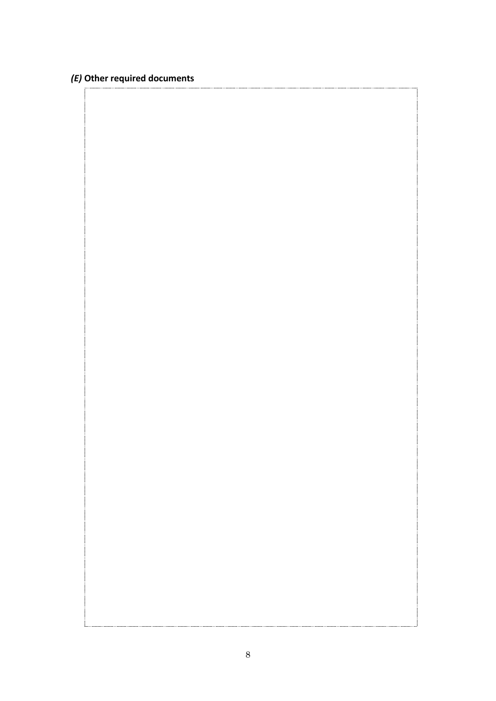## *(E)* **Other required documents**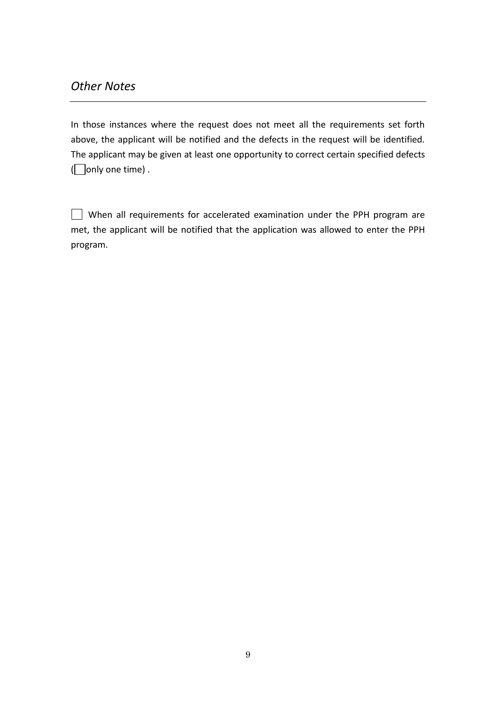In those instances where the request does not meet all the requirements set forth above, the applicant will be notified and the defects in the request will be identified. The applicant may be given at least one opportunity to correct certain specified defects  $\Box$  only one time).

When all requirements for accelerated examination under the PPH program are met, the applicant will be notified that the application was allowed to enter the PPH program.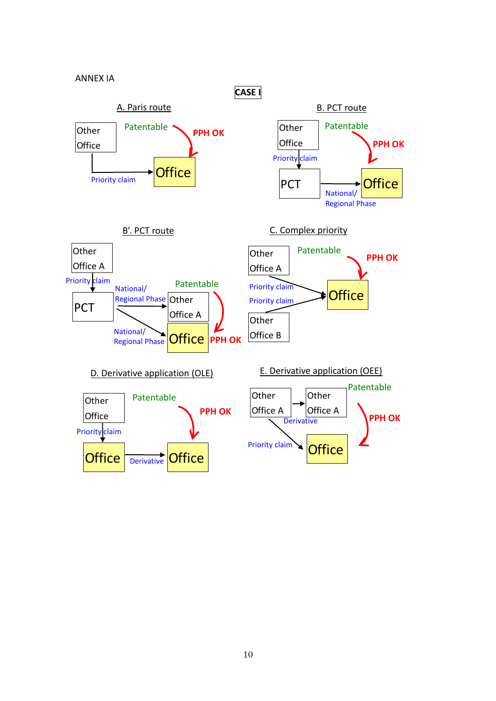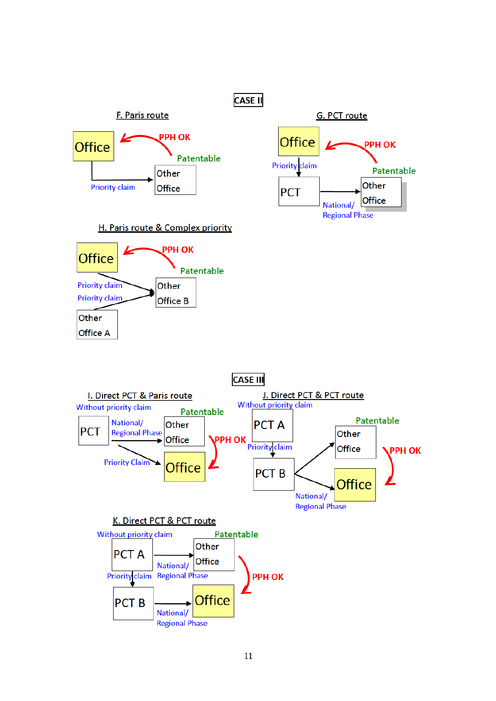

#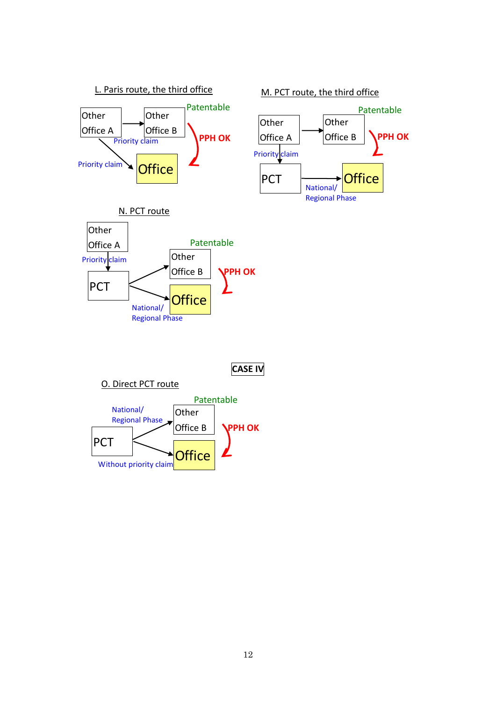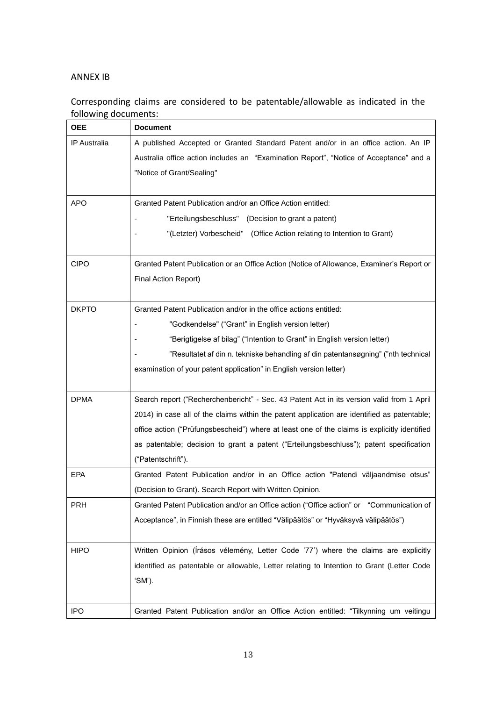#### ANNEX IB

## Corresponding claims are considered to be patentable/allowable as indicated in the following documents:

| <b>OEE</b>          | <b>Document</b>                                                                              |  |  |  |
|---------------------|----------------------------------------------------------------------------------------------|--|--|--|
| <b>IP</b> Australia | A published Accepted or Granted Standard Patent and/or in an office action. An IP            |  |  |  |
|                     | Australia office action includes an "Examination Report", "Notice of Acceptance" and a       |  |  |  |
|                     | "Notice of Grant/Sealing"                                                                    |  |  |  |
|                     |                                                                                              |  |  |  |
| <b>APO</b>          | Granted Patent Publication and/or an Office Action entitled:                                 |  |  |  |
|                     | "Erteilungsbeschluss" (Decision to grant a patent)                                           |  |  |  |
|                     | "(Letzter) Vorbescheid" (Office Action relating to Intention to Grant)                       |  |  |  |
|                     |                                                                                              |  |  |  |
| <b>CIPO</b>         | Granted Patent Publication or an Office Action (Notice of Allowance, Examiner's Report or    |  |  |  |
|                     | Final Action Report)                                                                         |  |  |  |
|                     |                                                                                              |  |  |  |
| <b>DKPTO</b>        | Granted Patent Publication and/or in the office actions entitled:                            |  |  |  |
|                     | "Godkendelse" ("Grant" in English version letter)                                            |  |  |  |
|                     | "Berigtigelse af bilag" ("Intention to Grant" in English version letter)                     |  |  |  |
|                     | "Resultatet af din n. tekniske behandling af din patentansøgning" ("nth technical            |  |  |  |
|                     | examination of your patent application" in English version letter)                           |  |  |  |
|                     |                                                                                              |  |  |  |
| <b>DPMA</b>         | Search report ("Recherchenbericht" - Sec. 43 Patent Act in its version valid from 1 April    |  |  |  |
|                     | 2014) in case all of the claims within the patent application are identified as patentable;  |  |  |  |
|                     | office action ("Prüfungsbescheid") where at least one of the claims is explicitly identified |  |  |  |
|                     | as patentable; decision to grant a patent ("Erteilungsbeschluss"); patent specification      |  |  |  |
|                     | ("Patentschrift").                                                                           |  |  |  |
| <b>EPA</b>          | Granted Patent Publication and/or in an Office action "Patendi väljaandmise otsus"           |  |  |  |
|                     | (Decision to Grant). Search Report with Written Opinion.                                     |  |  |  |
| <b>PRH</b>          | Granted Patent Publication and/or an Office action ("Office action" or "Communication of     |  |  |  |
|                     | Acceptance", in Finnish these are entitled "Välipäätös" or "Hyväksyvä välipäätös")           |  |  |  |
|                     |                                                                                              |  |  |  |
| <b>HIPO</b>         | Written Opinion (Irásos vélemény, Letter Code '77') where the claims are explicitly          |  |  |  |
|                     | identified as patentable or allowable, Letter relating to Intention to Grant (Letter Code    |  |  |  |
|                     | 'SM').                                                                                       |  |  |  |
|                     |                                                                                              |  |  |  |
| <b>IPO</b>          | Granted Patent Publication and/or an Office Action entitled: "Tilkynning um veitingu         |  |  |  |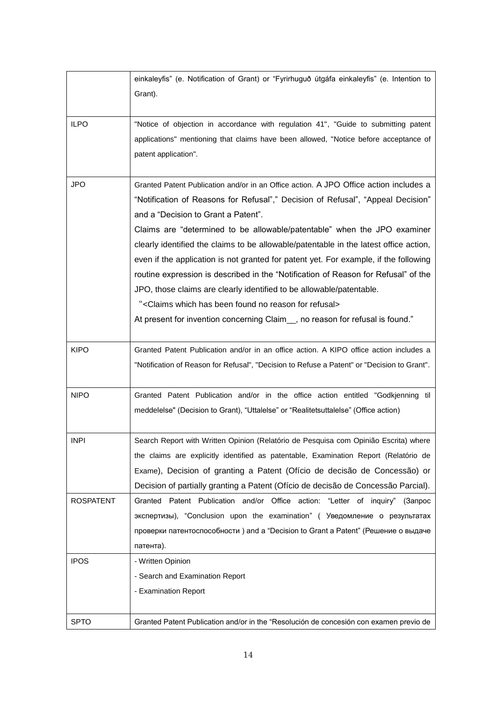|                  | einkaleyfis" (e. Notification of Grant) or "Fyrirhuguð útgáfa einkaleyfis" (e. Intention to<br>Grant).                                                                                                                                                                                                                                                                                                                                                                                                                                                                                                                                                                                                                                                                                                                |
|------------------|-----------------------------------------------------------------------------------------------------------------------------------------------------------------------------------------------------------------------------------------------------------------------------------------------------------------------------------------------------------------------------------------------------------------------------------------------------------------------------------------------------------------------------------------------------------------------------------------------------------------------------------------------------------------------------------------------------------------------------------------------------------------------------------------------------------------------|
| <b>ILPO</b>      | "Notice of objection in accordance with regulation 41", "Guide to submitting patent<br>applications" mentioning that claims have been allowed, "Notice before acceptance of<br>patent application".                                                                                                                                                                                                                                                                                                                                                                                                                                                                                                                                                                                                                   |
| <b>JPO</b>       | Granted Patent Publication and/or in an Office action. A JPO Office action includes a<br>"Notification of Reasons for Refusal"," Decision of Refusal", "Appeal Decision"<br>and a "Decision to Grant a Patent".<br>Claims are "determined to be allowable/patentable" when the JPO examiner<br>clearly identified the claims to be allowable/patentable in the latest office action,<br>even if the application is not granted for patent yet. For example, if the following<br>routine expression is described in the "Notification of Reason for Refusal" of the<br>JPO, those claims are clearly identified to be allowable/patentable.<br>" <claims been="" for="" found="" has="" no="" reason="" refusal="" which=""><br/>At present for invention concerning Claim_, no reason for refusal is found."</claims> |
| <b>KIPO</b>      | Granted Patent Publication and/or in an office action. A KIPO office action includes a<br>"Notification of Reason for Refusal", "Decision to Refuse a Patent" or "Decision to Grant".                                                                                                                                                                                                                                                                                                                                                                                                                                                                                                                                                                                                                                 |
| <b>NIPO</b>      | Granted Patent Publication and/or in the office action entitled "Godkjenning til<br>meddelelse" (Decision to Grant), "Uttalelse" or "Realitetsuttalelse" (Office action)                                                                                                                                                                                                                                                                                                                                                                                                                                                                                                                                                                                                                                              |
| INPI             | Search Report with Written Opinion (Relatório de Pesquisa com Opinião Escrita) where<br>the claims are explicitly identified as patentable, Examination Report (Relatório de<br>Exame), Decision of granting a Patent (Ofício de decisão de Concessão) or<br>Decision of partially granting a Patent (Ofício de decisão de Concessão Parcial).                                                                                                                                                                                                                                                                                                                                                                                                                                                                        |
| <b>ROSPATENT</b> | Granted Patent Publication and/or Office action: "Letter of inquiry" (3anpoc<br>экспертизы), "Conclusion upon the examination" (Уведомление о результатах<br>проверки патентоспособности) and a "Decision to Grant a Patent" (Решение о выдаче<br>патента).                                                                                                                                                                                                                                                                                                                                                                                                                                                                                                                                                           |
| <b>IPOS</b>      | - Written Opinion<br>- Search and Examination Report<br>- Examination Report                                                                                                                                                                                                                                                                                                                                                                                                                                                                                                                                                                                                                                                                                                                                          |
| <b>SPTO</b>      | Granted Patent Publication and/or in the "Resolución de concesión con examen previo de                                                                                                                                                                                                                                                                                                                                                                                                                                                                                                                                                                                                                                                                                                                                |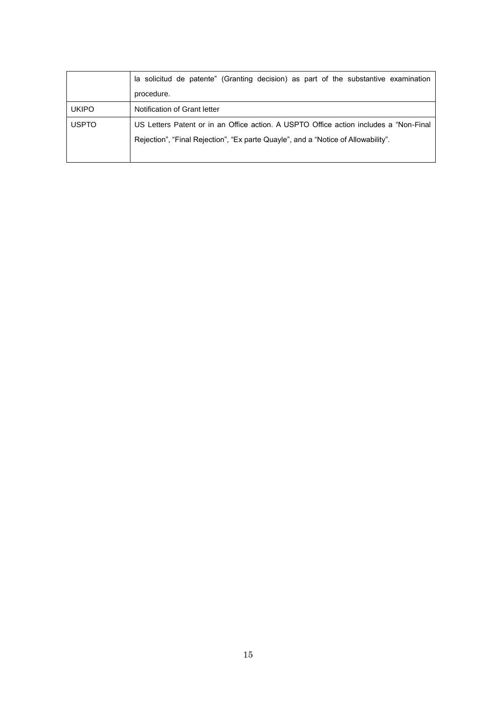|              | la solicitud de patente" (Granting decision) as part of the substantive examination   |
|--------------|---------------------------------------------------------------------------------------|
|              | procedure.                                                                            |
| <b>UKIPO</b> | Notification of Grant letter                                                          |
| <b>USPTO</b> | US Letters Patent or in an Office action. A USPTO Office action includes a "Non-Final |
|              | Rejection", "Final Rejection", "Ex parte Quayle", and a "Notice of Allowability".     |
|              |                                                                                       |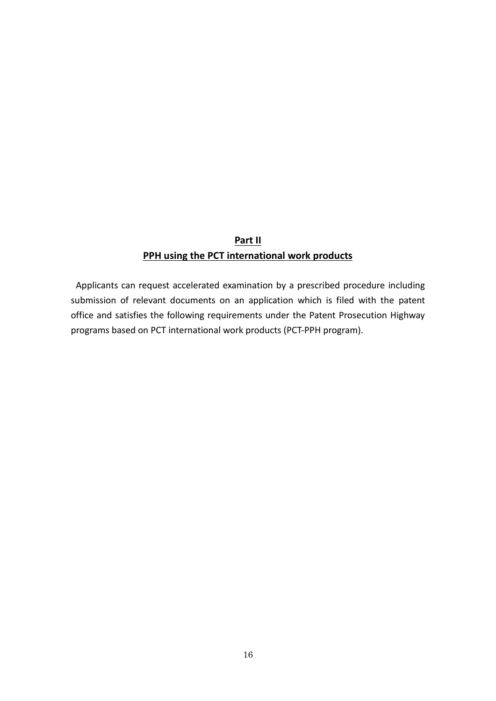## **Part II PPH using the PCT international work products**

Applicants can request accelerated examination by a prescribed procedure including submission of relevant documents on an application which is filed with the patent office and satisfies the following requirements under the Patent Prosecution Highway programs based on PCT international work products (PCT-PPH program).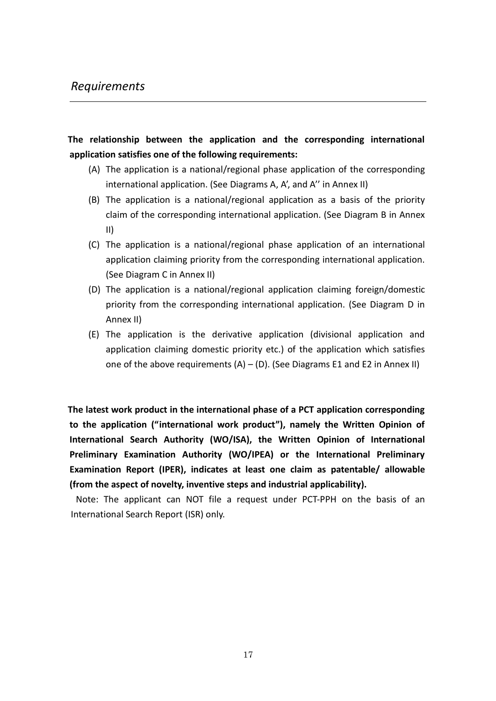## *Requirements*

## **The relationship between the application and the corresponding international application satisfies one of the following requirements:**

- (A) The application is a national/regional phase application of the corresponding international application. (See Diagrams A, A', and A'' in Annex II)
- (B) The application is a national/regional application as a basis of the priority claim of the corresponding international application. (See Diagram B in Annex II)
- (C) The application is a national/regional phase application of an international application claiming priority from the corresponding international application. (See Diagram C in Annex II)
- (D) The application is a national/regional application claiming foreign/domestic priority from the corresponding international application. (See Diagram D in Annex II)
- (E) The application is the derivative application (divisional application and application claiming domestic priority etc.) of the application which satisfies one of the above requirements  $(A) - (D)$ . (See Diagrams E1 and E2 in Annex II)

**The latest work product in the international phase of a PCT application corresponding to the application ("international work product"), namely the Written Opinion of International Search Authority (WO/ISA), the Written Opinion of International Preliminary Examination Authority (WO/IPEA) or the International Preliminary Examination Report (IPER), indicates at least one claim as patentable/ allowable (from the aspect of novelty, inventive steps and industrial applicability).** 

Note: The applicant can NOT file a request under PCT-PPH on the basis of an International Search Report (ISR) only.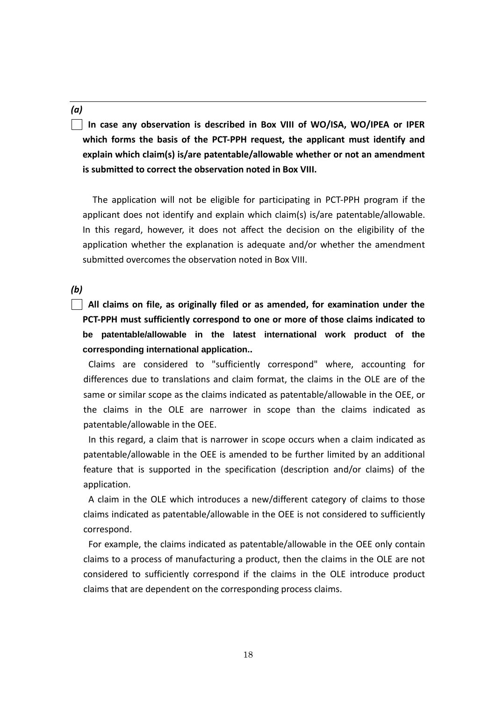#### *(a)*

**In case any observation is described in Box VIII of WO/ISA, WO/IPEA or IPER which forms the basis of the PCT-PPH request, the applicant must identify and explain which claim(s) is/are patentable/allowable whether or not an amendment is submitted to correct the observation noted in Box VIII.**

The application will not be eligible for participating in PCT-PPH program if the applicant does not identify and explain which claim(s) is/are patentable/allowable. In this regard, however, it does not affect the decision on the eligibility of the application whether the explanation is adequate and/or whether the amendment submitted overcomes the observation noted in Box VIII.

*(b)*

**All claims on file, as originally filed or as amended, for examination under the PCT-PPH must sufficiently correspond to one or more of those claims indicated to be patentable/allowable in the latest international work product of the corresponding international application..**

Claims are considered to "sufficiently correspond" where, accounting for differences due to translations and claim format, the claims in the OLE are of the same or similar scope as the claims indicated as patentable/allowable in the OEE, or the claims in the OLE are narrower in scope than the claims indicated as patentable/allowable in the OEE.

In this regard, a claim that is narrower in scope occurs when a claim indicated as patentable/allowable in the OEE is amended to be further limited by an additional feature that is supported in the specification (description and/or claims) of the application.

A claim in the OLE which introduces a new/different category of claims to those claims indicated as patentable/allowable in the OEE is not considered to sufficiently correspond.

For example, the claims indicated as patentable/allowable in the OEE only contain claims to a process of manufacturing a product, then the claims in the OLE are not considered to sufficiently correspond if the claims in the OLE introduce product claims that are dependent on the corresponding process claims.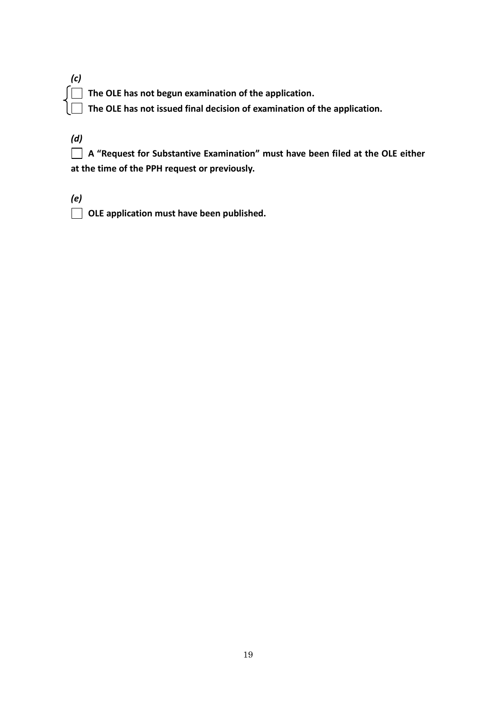| ı |  |  |  |  |  |  |  |
|---|--|--|--|--|--|--|--|
|   |  |  |  |  |  |  |  |
|   |  |  |  |  |  |  |  |

**The OLE has not begun examination of the application.**

**The OLE has not issued final decision of examination of the application.**

*(d)*

**A "Request for Substantive Examination" must have been filed at the OLE either at the time of the PPH request or previously.**

*(e)*

**OLE application must have been published.**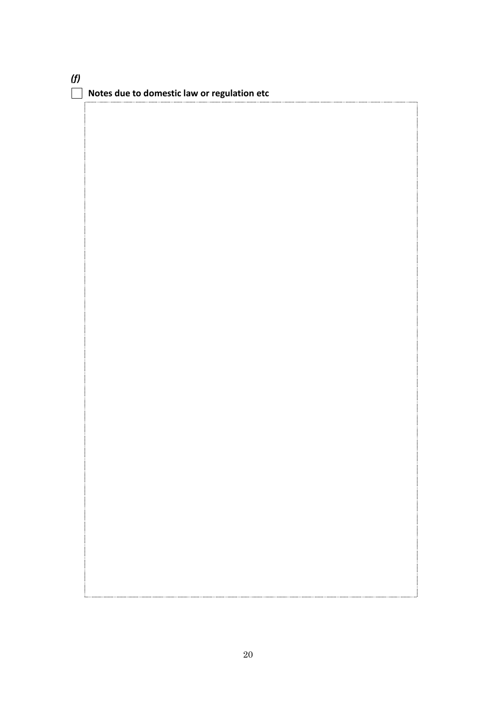| (f) | $\Box$ Notes due to domestic law or regulation etc |
|-----|----------------------------------------------------|
|     |                                                    |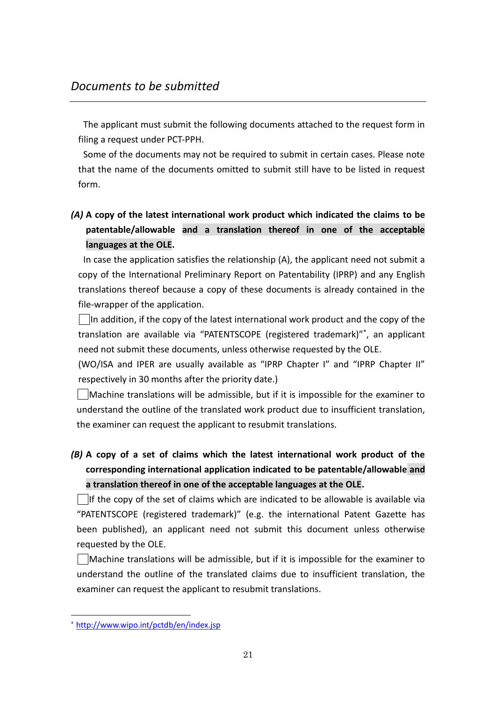The applicant must submit the following documents attached to the request form in filing a request under PCT-PPH.

Some of the documents may not be required to submit in certain cases. Please note that the name of the documents omitted to submit still have to be listed in request form.

## *(A)* **A copy of the latest international work product which indicated the claims to be patentable/allowable and a translation thereof in one of the acceptable languages at the OLE.**

In case the application satisfies the relationship (A), the applicant need not submit a copy of the International Preliminary Report on Patentability (IPRP) and any English translations thereof because a copy of these documents is already contained in the file-wrapper of the application.

In addition, if the copy of the latest international work product and the copy of the translation are available via "PATENTSCOPE (registered trademark)" \* , an applicant need not submit these documents, unless otherwise requested by the OLE.

(WO/ISA and IPER are usually available as "IPRP Chapter I" and "IPRP Chapter II" respectively in 30 months after the priority date.)

Machine translations will be admissible, but if it is impossible for the examiner to understand the outline of the translated work product due to insufficient translation, the examiner can request the applicant to resubmit translations.

*(B)* **A copy of a set of claims which the latest international work product of the corresponding international application indicated to be patentable/allowable and a translation thereof in one of the acceptable languages at the OLE.**

 $\Box$  If the copy of the set of claims which are indicated to be allowable is available via "PATENTSCOPE (registered trademark)" (e.g. the international Patent Gazette has been published), an applicant need not submit this document unless otherwise requested by the OLE.

 $\Box$ Machine translations will be admissible, but if it is impossible for the examiner to understand the outline of the translated claims due to insufficient translation, the examiner can request the applicant to resubmit translations.

-

<sup>\*</sup> http://www.wipo.int/pctdb/en/index.jsp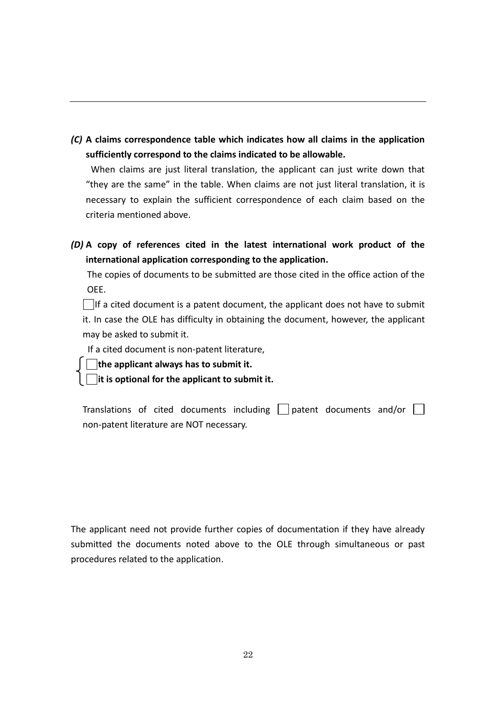*(C)* **A claims correspondence table which indicates how all claims in the application sufficiently correspond to the claims indicated to be allowable.**

When claims are just literal translation, the applicant can just write down that "they are the same" in the table. When claims are not just literal translation, it is necessary to explain the sufficient correspondence of each claim based on the criteria mentioned above.

*(D)* **A copy of references cited in the latest international work product of the international application corresponding to the application.**

The copies of documents to be submitted are those cited in the office action of the OEE.

 $\Box$ If a cited document is a patent document, the applicant does not have to submit it. In case the OLE has difficulty in obtaining the document, however, the applicant may be asked to submit it.

If a cited document is non-patent literature,

**the applicant always has to submit it.**

**it is optional for the applicant to submit it.**

Translations of cited documents including  $\Box$  patent documents and/or  $\Box$ non-patent literature are NOT necessary.

The applicant need not provide further copies of documentation if they have already submitted the documents noted above to the OLE through simultaneous or past procedures related to the application.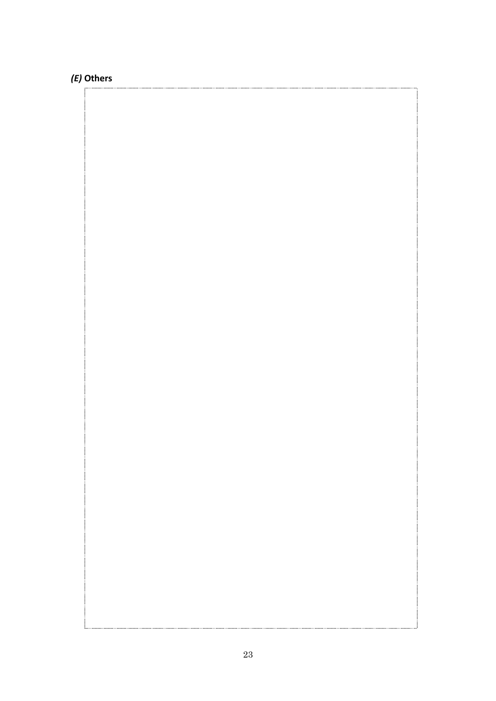## *(E)* **Others**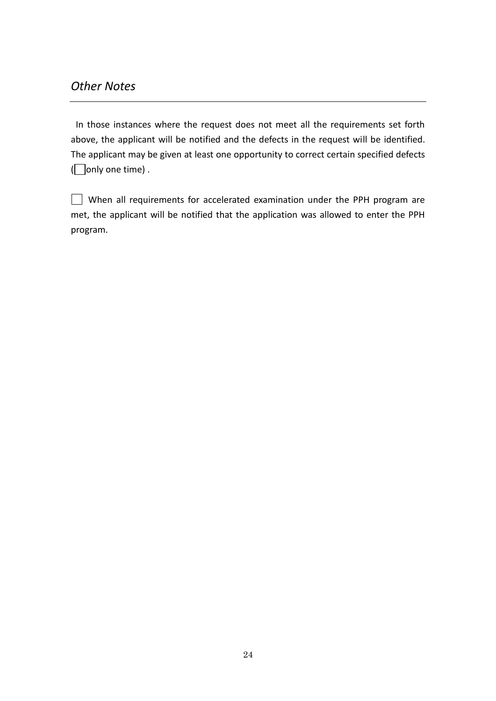## *Other Notes*

In those instances where the request does not meet all the requirements set forth above, the applicant will be notified and the defects in the request will be identified. The applicant may be given at least one opportunity to correct certain specified defects  $\Box$  only one time).

| $\vert$ $\vert$ When all requirements for accelerated examination under the PPH program are |  |  |  |
|---------------------------------------------------------------------------------------------|--|--|--|
| met, the applicant will be notified that the application was allowed to enter the PPH       |  |  |  |
| program.                                                                                    |  |  |  |